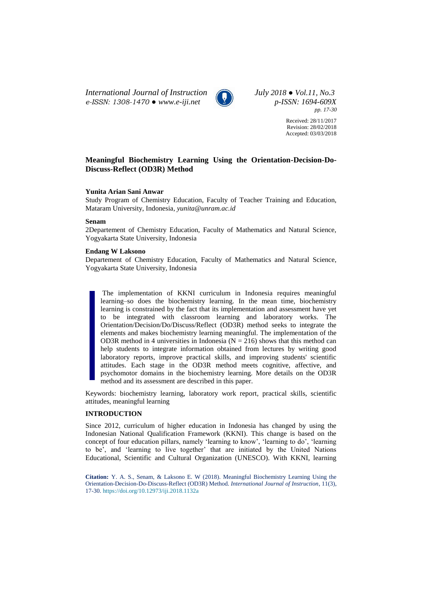*International Journal of Instruction July 2018 ● Vol.11, No.3 e-ISSN: 1308-1470 ● [www.e-iji.net](http://www.e-iji.net/) p-ISSN: 1694-609X*



*pp. 17-30*

Received: 28/11/2017 Revision: 28/02/2018 Accepted: 03/03/2018

# **Meaningful Biochemistry Learning Using the Orientation-Decision-Do-Discuss-Reflect (OD3R) Method**

### **Yunita Arian Sani Anwar**

Study Program of Chemistry Education, Faculty of Teacher Training and Education, Mataram University, Indonesia, *yunita@unram.ac.id*

### **Senam**

2Departement of Chemistry Education, Faculty of Mathematics and Natural Science, Yogyakarta State University, Indonesia

# **Endang W Laksono**

Departement of Chemistry Education, Faculty of Mathematics and Natural Science, Yogyakarta State University, Indonesia

The implementation of KKNI curriculum in Indonesia requires meaningful learning–so does the biochemistry learning. In the mean time, biochemistry learning is constrained by the fact that its implementation and assessment have yet to be integrated with classroom learning and laboratory works. The Orientation/Decision/Do/Discuss/Reflect (OD3R) method seeks to integrate the elements and makes biochemistry learning meaningful. The implementation of the OD3R method in 4 universities in Indonesia ( $N = 216$ ) shows that this method can help students to integrate information obtained from lectures by writing good laboratory reports, improve practical skills, and improving students' scientific attitudes. Each stage in the OD3R method meets cognitive, affective, and psychomotor domains in the biochemistry learning. More details on the OD3R method and its assessment are described in this paper.

Keywords: biochemistry learning, laboratory work report, practical skills, scientific attitudes, meaningful learning

### **INTRODUCTION**

Since 2012, curriculum of higher education in Indonesia has changed by using the Indonesian National Qualification Framework (KKNI). This change is based on the concept of four education pillars, namely 'learning to know', 'learning to do', 'learning to be', and 'learning to live together' that are initiated by the United Nations Educational, Scientific and Cultural Organization (UNESCO). With KKNI, learning

**Citation:** Y. A. S., Senam, & Laksono E. W (2018). Meaningful Biochemistry Learning Using the Orientation-Decision-Do-Discuss-Reflect (OD3R) Method. *International Journal of Instruction*, 11(3), 17-30. <https://doi.org/10.12973/iji.2018.1132a>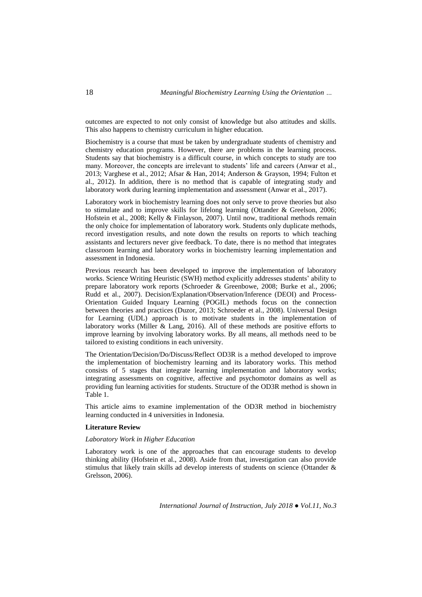outcomes are expected to not only consist of knowledge but also attitudes and skills. This also happens to chemistry curriculum in higher education.

Biochemistry is a course that must be taken by undergraduate students of chemistry and chemistry education programs. However, there are problems in the learning process. Students say that biochemistry is a difficult course, in which concepts to study are too many. Moreover, the concepts are irrelevant to students' life and careers (Anwar et al., 2013; Varghese et al., 2012; Afsar & Han, 2014; Anderson & Grayson, 1994; Fulton et al., 2012). In addition, there is no method that is capable of integrating study and laboratory work during learning implementation and assessment (Anwar et al., 2017).

Laboratory work in biochemistry learning does not only serve to prove theories but also to stimulate and to improve skills for lifelong learning (Ottander & Greelson, 2006; Hofstein et al., 2008; Kelly & Finlayson, 2007). Until now, traditional methods remain the only choice for implementation of laboratory work. Students only duplicate methods, record investigation results, and note down the results on reports to which teaching assistants and lecturers never give feedback. To date, there is no method that integrates classroom learning and laboratory works in biochemistry learning implementation and assessment in Indonesia.

Previous research has been developed to improve the implementation of laboratory works. Science Writing Heuristic (SWH) method explicitly addresses students' ability to prepare laboratory work reports (Schroeder & Greenbowe, 2008; Burke et al., 2006; Rudd et al., 2007). Decision/Explanation/Observation/Inference (DEOI) and Process-Orientation Guided Inquary Learning (POGIL) methods focus on the connection between theories and practices (Duzor, 2013; Schroeder et al., 2008). Universal Design for Learning (UDL) approach is to motivate students in the implementation of laboratory works (Miller & Lang, 2016). All of these methods are positive efforts to improve learning by involving laboratory works. By all means, all methods need to be tailored to existing conditions in each university.

The Orientation/Decision/Do/Discuss/Reflect OD3R is a method developed to improve the implementation of biochemistry learning and its laboratory works. This method consists of 5 stages that integrate learning implementation and laboratory works; integrating assessments on cognitive, affective and psychomotor domains as well as providing fun learning activities for students. Structure of the OD3R method is shown in Table 1.

This article aims to examine implementation of the OD3R method in biochemistry learning conducted in 4 universities in Indonesia.

### **Literature Review**

### *Laboratory Work in Higher Education*

Laboratory work is one of the approaches that can encourage students to develop thinking ability (Hofstein et al., 2008). Aside from that, investigation can also provide stimulus that likely train skills ad develop interests of students on science (Ottander & Grelsson, 2006).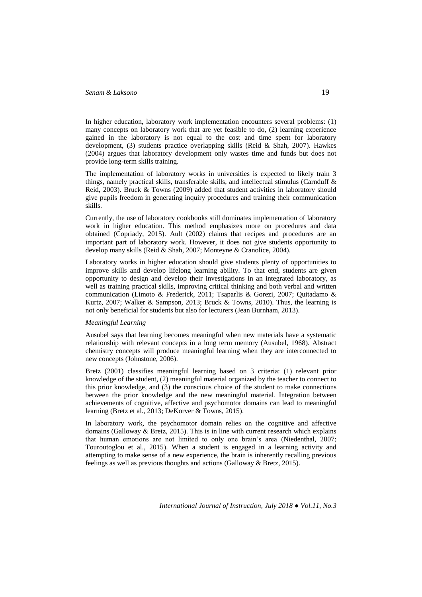In higher education, laboratory work implementation encounters several problems: (1) many concepts on laboratory work that are yet feasible to do, (2) learning experience gained in the laboratory is not equal to the cost and time spent for laboratory development, (3) students practice overlapping skills (Reid & Shah, 2007). Hawkes (2004) argues that laboratory development only wastes time and funds but does not provide long-term skills training.

The implementation of laboratory works in universities is expected to likely train 3 things, namely practical skills, transferable skills, and intellectual stimulus (Carnduff & Reid, 2003). Bruck & Towns (2009) added that student activities in laboratory should give pupils freedom in generating inquiry procedures and training their communication skills.

Currently, the use of laboratory cookbooks still dominates implementation of laboratory work in higher education. This method emphasizes more on procedures and data obtained (Copriady, 2015). Ault (2002) claims that recipes and procedures are an important part of laboratory work. However, it does not give students opportunity to develop many skills (Reid & Shah, 2007; Monteyne & Cranolice, 2004).

Laboratory works in higher education should give students plenty of opportunities to improve skills and develop lifelong learning ability. To that end, students are given opportunity to design and develop their investigations in an integrated laboratory, as well as training practical skills, improving critical thinking and both verbal and written communication (Limoto & Frederick, 2011; Tsaparlis & Gorezi, 2007; Quitadamo & Kurtz, 2007; Walker & Sampson, 2013; Bruck & Towns, 2010). Thus, the learning is not only beneficial for students but also for lecturers (Jean Burnham, 2013).

# *Meaningful Learning*

Ausubel says that learning becomes meaningful when new materials have a systematic relationship with relevant concepts in a long term memory (Ausubel, 1968). Abstract chemistry concepts will produce meaningful learning when they are interconnected to new concepts (Johnstone, 2006).

Bretz (2001) classifies meaningful learning based on 3 criteria: (1) relevant prior knowledge of the student, (2) meaningful material organized by the teacher to connect to this prior knowledge, and (3) the conscious choice of the student to make connections between the prior knowledge and the new meaningful material. Integration between achievements of cognitive, affective and psychomotor domains can lead to meaningful learning (Bretz et al., 2013; DeKorver & Towns, 2015).

In laboratory work, the psychomotor domain relies on the cognitive and affective domains (Galloway & Bretz, 2015). This is in line with current research which explains that human emotions are not limited to only one brain's area (Niedenthal, 2007; Touroutoglou et al., 2015). When a student is engaged in a learning activity and attempting to make sense of a new experience, the brain is inherently recalling previous feelings as well as previous thoughts and actions (Galloway & Bretz, 2015).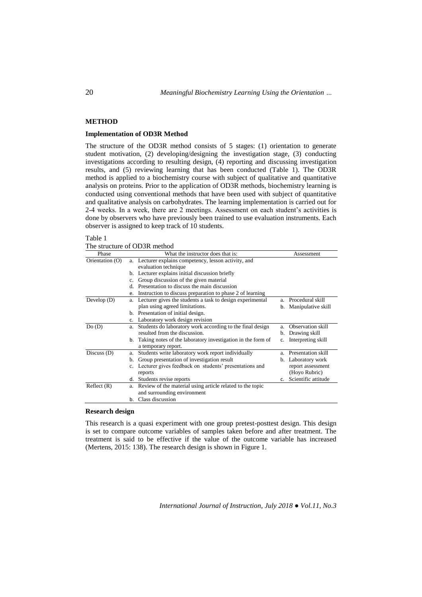# **METHOD**

# **Implementation of OD3R Method**

The structure of the OD3R method consists of 5 stages: (1) orientation to generate student motivation, (2) developing/designing the investigation stage, (3) conducting investigations according to resulting design, (4) reporting and discussing investigation results, and (5) reviewing learning that has been conducted (Table 1). The OD3R method is applied to a biochemistry course with subject of qualitative and quantitative analysis on proteins. Prior to the application of OD3R methods, biochemistry learning is conducted using conventional methods that have been used with subject of quantitative and qualitative analysis on carbohydrates. The learning implementation is carried out for 2-4 weeks. In a week, there are 2 meetings. Assessment on each student's activities is done by observers who have previously been trained to use evaluation instruments. Each observer is assigned to keep track of 10 students.

#### Table 1

The structure of OD3R method

| Phase           | What the instructor does that is:                               | Assessment                |
|-----------------|-----------------------------------------------------------------|---------------------------|
| Orientation (O) | a. Lecturer explains competency, lesson activity, and           |                           |
|                 | evaluation technique                                            |                           |
|                 | b. Lecturer explains initial discussion briefly                 |                           |
|                 | Group discussion of the given material                          |                           |
|                 | Presentation to discuss the main discussion<br>d.               |                           |
|                 | Instruction to discuss preparation to phase 2 of learning<br>e. |                           |
| Develop $(D)$   | Lecturer gives the students a task to design experimental<br>a. | Procedural skill<br>a.    |
|                 | plan using agreed limitations.                                  | Manipulative skill<br>b.  |
|                 | b. Presentation of initial design.                              |                           |
|                 | c. Laboratory work design revision                              |                           |
| Do(D)           | Students do laboratory work according to the final design<br>a. | Observation skill<br>a.   |
|                 | resulted from the discussion.                                   | Drawing skill<br>b.       |
|                 | b. Taking notes of the laboratory investigation in the form of  | Interpreting skill<br>c.  |
|                 | a temporary report.                                             |                           |
| Discuss $(D)$   | Students write laboratory work report individually<br>a.        | Presentation skill<br>a.  |
|                 | Group presentation of investigation result<br>b.                | Laboratory work<br>b.     |
|                 | c. Lecturer gives feedback on students' presentations and       | report assessment         |
|                 | reports                                                         | (Hoyo Rubric)             |
|                 | Students revise reports<br>d.                                   | Scientific attitude<br>c. |
| Reflect(R)      | a. Review of the material using article related to the topic    |                           |
|                 | and surrounding environment                                     |                           |
|                 | Class discussion<br>b.                                          |                           |

## **Research design**

This research is a quasi experiment with one group pretest-posttest design. This design is set to compare outcome variables of samples taken before and after treatment. The treatment is said to be effective if the value of the outcome variable has increased (Mertens, 2015: 138). The research design is shown in Figure 1.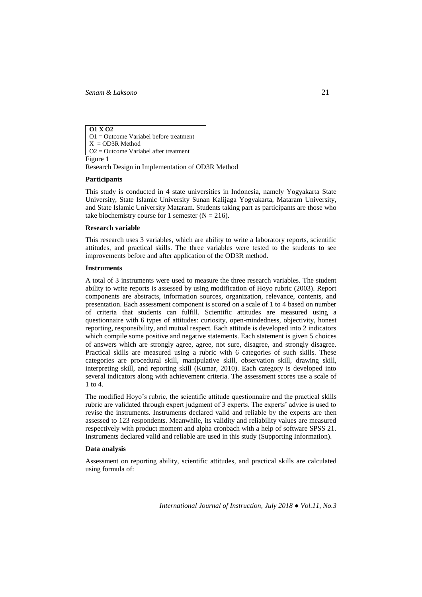**O1 X O2** O1 = Outcome Variabel before treatment  $X = OD3R$  Method O2 = Outcome Variabel after treatment

Figure 1

Research Design in Implementation of OD3R Method

### **Participants**

This study is conducted in 4 state universities in Indonesia, namely Yogyakarta State University, State Islamic University Sunan Kalijaga Yogyakarta, Mataram University, and State Islamic University Mataram. Students taking part as participants are those who take biochemistry course for 1 semester  $(N = 216)$ .

# **Research variable**

This research uses 3 variables, which are ability to write a laboratory reports, scientific attitudes, and practical skills. The three variables were tested to the students to see improvements before and after application of the OD3R method.

### **Instruments**

A total of 3 instruments were used to measure the three research variables. The student ability to write reports is assessed by using modification of Hoyo rubric (2003). Report components are abstracts, information sources, organization, relevance, contents, and presentation. Each assessment component is scored on a scale of 1 to 4 based on number of criteria that students can fulfill. Scientific attitudes are measured using a questionnaire with 6 types of attitudes: curiosity, open-mindedness, objectivity, honest reporting, responsibility, and mutual respect. Each attitude is developed into 2 indicators which compile some positive and negative statements. Each statement is given 5 choices of answers which are strongly agree, agree, not sure, disagree, and strongly disagree. Practical skills are measured using a rubric with 6 categories of such skills. These categories are procedural skill, manipulative skill, observation skill, drawing skill, interpreting skill, and reporting skill (Kumar, 2010). Each category is developed into several indicators along with achievement criteria. The assessment scores use a scale of 1 to 4.

The modified Hoyo's rubric, the scientific attitude questionnaire and the practical skills rubric are validated through expert judgment of 3 experts. The experts' advice is used to revise the instruments. Instruments declared valid and reliable by the experts are then assessed to 123 respondents. Meanwhile, its validity and reliability values are measured respectively with product moment and alpha cronbach with a help of software SPSS 21. Instruments declared valid and reliable are used in this study (Supporting Information).

### **Data analysis**

Assessment on reporting ability, scientific attitudes, and practical skills are calculated using formula of: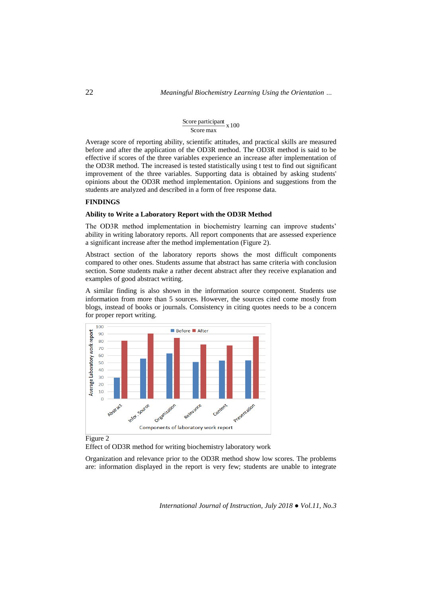#### Score participant  $\frac{x}{100}$ Score max

Average score of reporting ability, scientific attitudes, and practical skills are measured before and after the application of the OD3R method. The OD3R method is said to be effective if scores of the three variables experience an increase after implementation of the OD3R method. The increased is tested statistically using t test to find out significant improvement of the three variables. Supporting data is obtained by asking students' opinions about the OD3R method implementation. Opinions and suggestions from the students are analyzed and described in a form of free response data.

#### **FINDINGS**

#### **Ability to Write a Laboratory Report with the OD3R Method**

The OD3R method implementation in biochemistry learning can improve students' ability in writing laboratory reports. All report components that are assessed experience a significant increase after the method implementation (Figure 2).

Abstract section of the laboratory reports shows the most difficult components compared to other ones. Students assume that abstract has same criteria with conclusion section. Some students make a rather decent abstract after they receive explanation and examples of good abstract writing.

A similar finding is also shown in the information source component. Students use information from more than 5 sources. However, the sources cited come mostly from blogs, instead of books or journals. Consistency in citing quotes needs to be a concern for proper report writing.



Figure 2

Effect of OD3R method for writing biochemistry laboratory work

Organization and relevance prior to the OD3R method show low scores. The problems are: information displayed in the report is very few; students are unable to integrate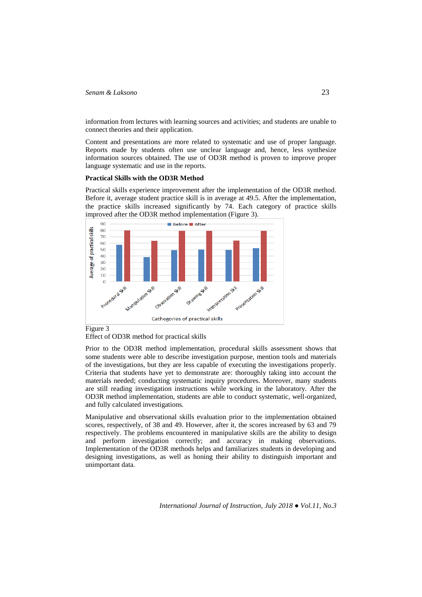information from lectures with learning sources and activities; and students are unable to connect theories and their application.

Content and presentations are more related to systematic and use of proper language. Reports made by students often use unclear language and, hence, less synthesize information sources obtained. The use of OD3R method is proven to improve proper language systematic and use in the reports.

#### **Practical Skills with the OD3R Method**

Practical skills experience improvement after the implementation of the OD3R method. Before it, average student practice skill is in average at 49.5. After the implementation, the practice skills increased significantly by 74. Each category of practice skills improved after the OD3R method implementation (Figure 3).





Prior to the OD3R method implementation, procedural skills assessment shows that some students were able to describe investigation purpose, mention tools and materials of the investigations, but they are less capable of executing the investigations properly. Criteria that students have yet to demonstrate are: thoroughly taking into account the materials needed; conducting systematic inquiry procedures. Moreover, many students are still reading investigation instructions while working in the laboratory. After the OD3R method implementation, students are able to conduct systematic, well-organized, and fully calculated investigations.

Manipulative and observational skills evaluation prior to the implementation obtained scores, respectively, of 38 and 49. However, after it, the scores increased by 63 and 79 respectively. The problems encountered in manipulative skills are the ability to design and perform investigation correctly; and accuracy in making observations. Implementation of the OD3R methods helps and familiarizes students in developing and designing investigations, as well as honing their ability to distinguish important and unimportant data.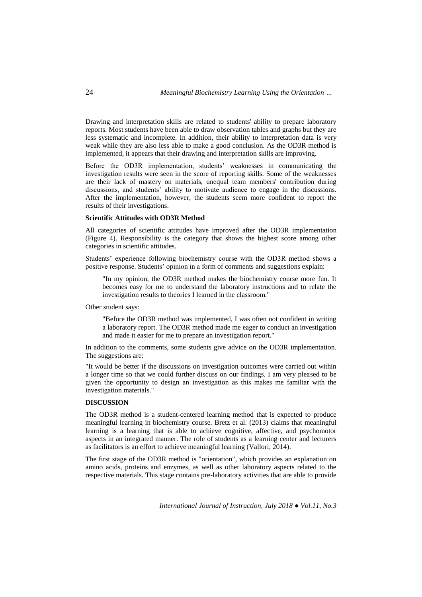Drawing and interpretation skills are related to students' ability to prepare laboratory reports. Most students have been able to draw observation tables and graphs but they are less systematic and incomplete. In addition, their ability to interpretation data is very weak while they are also less able to make a good conclusion. As the OD3R method is implemented, it appears that their drawing and interpretation skills are improving.

Before the OD3R implementation, students' weaknesses in communicating the investigation results were seen in the score of reporting skills. Some of the weaknesses are their lack of mastery on materials, unequal team members' contribution during discussions, and students' ability to motivate audience to engage in the discussions. After the implementation, however, the students seem more confident to report the results of their investigations.

### **Scientific Attitudes with OD3R Method**

All categories of scientific attitudes have improved after the OD3R implementation (Figure 4). Responsibility is the category that shows the highest score among other categories in scientific attitudes.

Students' experience following biochemistry course with the OD3R method shows a positive response. Students' opinion in a form of comments and suggestions explain:

"In my opinion, the OD3R method makes the biochemistry course more fun. It becomes easy for me to understand the laboratory instructions and to relate the investigation results to theories I learned in the classroom."

Other student says:

"Before the OD3R method was implemented, I was often not confident in writing a laboratory report. The OD3R method made me eager to conduct an investigation and made it easier for me to prepare an investigation report."

In addition to the comments, some students give advice on the OD3R implementation. The suggestions are:

"It would be better if the discussions on investigation outcomes were carried out within a longer time so that we could further discuss on our findings. I am very pleased to be given the opportunity to design an investigation as this makes me familiar with the investigation materials."

## **DISCUSSION**

The OD3R method is a student-centered learning method that is expected to produce meaningful learning in biochemistry course. Bretz et al. (2013) claims that meaningful learning is a learning that is able to achieve cognitive, affective, and psychomotor aspects in an integrated manner. The role of students as a learning center and lecturers as facilitators is an effort to achieve meaningful learning (Vallori, 2014).

The first stage of the OD3R method is "orientation", which provides an explanation on amino acids, proteins and enzymes, as well as other laboratory aspects related to the respective materials. This stage contains pre-laboratory activities that are able to provide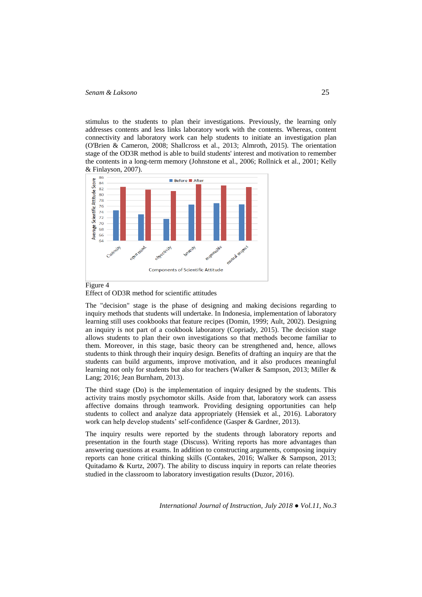stimulus to the students to plan their investigations. Previously, the learning only addresses contents and less links laboratory work with the contents. Whereas, content connectivity and laboratory work can help students to initiate an investigation plan (O'Brien & Cameron, 2008; Shallcross et al., 2013; Almroth, 2015). The orientation stage of the OD3R method is able to build students' interest and motivation to remember the contents in a long-term memory (Johnstone et al., 2006; Rollnick et al., 2001; Kelly & Finlayson, 2007).



Figure 4 Effect of OD3R method for scientific attitudes

The "decision" stage is the phase of designing and making decisions regarding to inquiry methods that students will undertake. In Indonesia, implementation of laboratory learning still uses cookbooks that feature recipes (Domin, 1999; Ault, 2002). Designing an inquiry is not part of a cookbook laboratory (Copriady, 2015). The decision stage allows students to plan their own investigations so that methods become familiar to them. Moreover, in this stage, basic theory can be strengthened and, hence, allows students to think through their inquiry design. Benefits of drafting an inquiry are that the students can build arguments, improve motivation, and it also produces meaningful learning not only for students but also for teachers (Walker & Sampson, 2013; Miller & Lang; 2016; Jean Burnham, 2013).

The third stage (Do) is the implementation of inquiry designed by the students. This activity trains mostly psychomotor skills. Aside from that, laboratory work can assess affective domains through teamwork. Providing designing opportunities can help students to collect and analyze data appropriately (Hensiek et al., 2016). Laboratory work can help develop students' self-confidence (Gasper & Gardner, 2013).

The inquiry results were reported by the students through laboratory reports and presentation in the fourth stage (Discuss). Writing reports has more advantages than answering questions at exams. In addition to constructing arguments, composing inquiry reports can hone critical thinking skills (Contakes, 2016; Walker & Sampson, 2013; Quitadamo & Kurtz, 2007). The ability to discuss inquiry in reports can relate theories studied in the classroom to laboratory investigation results (Duzor, 2016).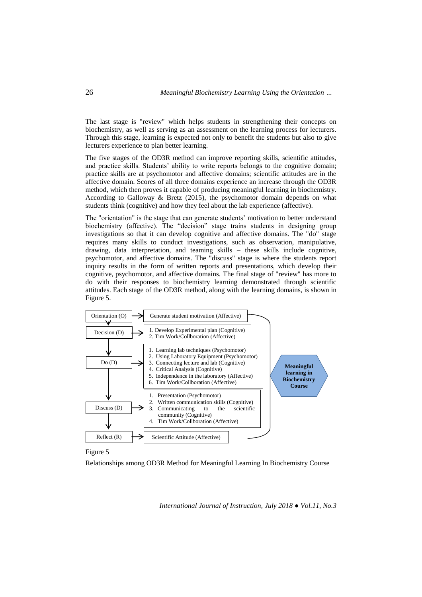The last stage is "review" which helps students in strengthening their concepts on biochemistry, as well as serving as an assessment on the learning process for lecturers. Through this stage, learning is expected not only to benefit the students but also to give lecturers experience to plan better learning.

The five stages of the OD3R method can improve reporting skills, scientific attitudes, and practice skills. Students' ability to write reports belongs to the cognitive domain; practice skills are at psychomotor and affective domains; scientific attitudes are in the affective domain. Scores of all three domains experience an increase through the OD3R method, which then proves it capable of producing meaningful learning in biochemistry. According to Galloway & Bretz (2015), the psychomotor domain depends on what students think (cognitive) and how they feel about the lab experience (affective).

The "orientation" is the stage that can generate students' motivation to better understand biochemistry (affective). The "decision" stage trains students in designing group investigations so that it can develop cognitive and affective domains. The "do" stage requires many skills to conduct investigations, such as observation, manipulative, drawing, data interpretation, and teaming skills – these skills include cognitive, psychomotor, and affective domains. The "discuss" stage is where the students report inquiry results in the form of written reports and presentations, which develop their cognitive, psychomotor, and affective domains. The final stage of "review" has more to do with their responses to biochemistry learning demonstrated through scientific attitudes. Each stage of the OD3R method, along with the learning domains, is shown in Figure 5.



Figure 5

Relationships among OD3R Method for Meaningful Learning In Biochemistry Course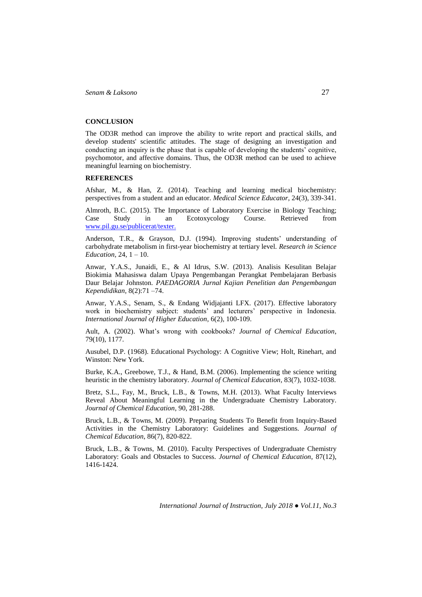# **CONCLUSION**

The OD3R method can improve the ability to write report and practical skills, and develop students' scientific attitudes. The stage of designing an investigation and conducting an inquiry is the phase that is capable of developing the students' cognitive, psychomotor, and affective domains. Thus, the OD3R method can be used to achieve meaningful learning on biochemistry.

# **REFERENCES**

Afshar, M., & Han, Z. (2014). Teaching and learning medical biochemistry: perspectives from a student and an educator. *Medical Science Educator*, 24(3), 339-341.

Almroth, B.C. (2015). The Importance of Laboratory Exercise in Biology Teaching; Case Study in an Ecotoxycology Course. Retrieved from [www.pil.gu.se/publicerat/texter.](http://www.pil.gu.se/publicerat/texter.)

Anderson, T.R., & Grayson, D.J. (1994). Improving students' understanding of carbohydrate metabolism in first-year biochemistry at tertiary level. *Research in Science Education,* 24, 1 – 10.

Anwar, Y.A.S., Junaidi, E., & Al Idrus, S.W. (2013). Analisis Kesulitan Belajar Biokimia Mahasiswa dalam Upaya Pengembangan Perangkat Pembelajaran Berbasis Daur Belajar Johnston. *PAEDAGORIA Jurnal Kajian Penelitian dan Pengembangan Kependidikan,* 8(2):71 –74.

Anwar, Y.A.S., Senam, S., & Endang Widjajanti LFX. (2017). Effective laboratory work in biochemistry subject: students' and lecturers' perspective in Indonesia. *International Journal of Higher Education*, 6(2), 100-109.

Ault, A. (2002). What's wrong with cookbooks? *Journal of Chemical Education*, 79(10), 1177.

Ausubel, D.P. (1968). Educational Psychology: A Cognitive View; Holt, Rinehart, and Winston: New York.

Burke, K.A., Greebowe, T.J., & Hand, B.M. (2006). Implementing the science writing heuristic in the chemistry laboratory. *Journal of Chemical Education,* 83(7), 1032-1038.

Bretz, S.L., Fay, M., Bruck, L.B., & Towns, M.H. (2013). What Faculty Interviews Reveal About Meaningful Learning in the Undergraduate Chemistry Laboratory. *Journal of Chemical Education*, 90, 281-288.

Bruck, L.B., & Towns, M. (2009). Preparing Students To Benefit from Inquiry-Based Activities in the Chemistry Laboratory: Guidelines and Suggestions. *Journal of Chemical Education*, 86(7), 820-822.

Bruck, L.B., & Towns, M. (2010). Faculty Perspectives of Undergraduate Chemistry Laboratory: Goals and Obstacles to Success. *Journal of Chemical Education*, 87(12), 1416-1424.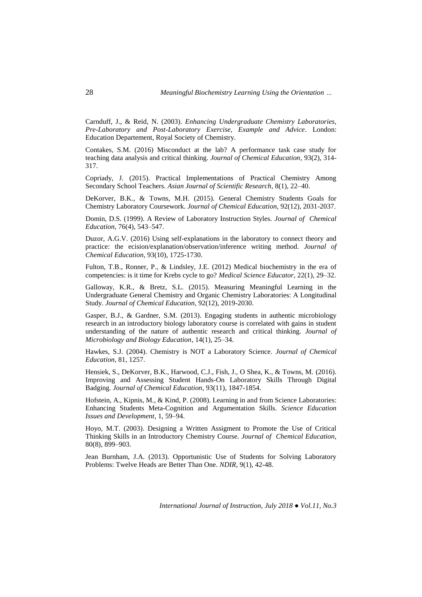Carnduff, J., & Reid, N. (2003). *Enhancing Undergraduate Chemistry Laboratories, Pre-Laboratory and Post-Laboratory Exercise, Example and Advice*. London: Education Departement, Royal Society of Chemistry.

Contakes, S.M. (2016) Misconduct at the lab? A performance task case study for teaching data analysis and critical thinking. *Journal of Chemical Education*, 93(2), 314- 317.

Copriady, J. (2015). Practical Implementations of Practical Chemistry Among Secondary School Teachers. *Asian Journal of Scientific Research,* 8(1), 22–40.

DeKorver, B.K., & Towns, M.H. (2015). General Chemistry Students Goals for Chemistry Laboratory Coursework. *Journal of Chemical Education*, 92(12), 2031-2037.

Domin, D.S. (1999). A Review of Laboratory Instruction Styles. *Journal of Chemical Education,* 76(4), 543–547.

Duzor, A.G.V. (2016) Using self-explanations in the laboratory to connect theory and practice: the ecision/explanation/observation/inference writing method. *Journal of Chemical Education*, 93(10), 1725-1730.

Fulton, T.B., Ronner, P., & Lindsley, J.E. (2012) Medical biochemistry in the era of competencies: is it time for Krebs cycle to go? *Medical Science Educator*, 22(1), 29–32.

Galloway, K.R., & Bretz, S.L. (2015). Measuring Meaningful Learning in the Undergraduate General Chemistry and Organic Chemistry Laboratories: A Longitudinal Study. *Journal of Chemical Education*, 92(12), 2019-2030.

Gasper, B.J., & Gardner, S.M. (2013). Engaging students in authentic microbiology research in an introductory biology laboratory course is correlated with gains in student understanding of the nature of authentic research and critical thinking. *Journal of Microbiology and Biology Education*, 14(1), 25–34.

Hawkes, S.J. (2004). Chemistry is NOT a Laboratory Science. *Journal of Chemical Education*, 81, 1257.

Hensiek, S., DeKorver, B.K., Harwood, C.J., Fish, J., O Shea, K., & Towns, M. (2016). Improving and Assessing Student Hands-On Laboratory Skills Through Digital Badging. *Journal of Chemical Education*, 93(11), 1847-1854.

Hofstein, A., Kipnis, M., & Kind, P. (2008). Learning in and from Science Laboratories: Enhancing Students Meta-Cognition and Argumentation Skills. *Science Education Issues and Development*, 1, 59–94.

Hoyo, M.T. (2003). Designing a Written Assigment to Promote the Use of Critical Thinking Skills in an Introductory Chemistry Course. *Journal of Chemical Education*, 80(8), 899–903.

Jean Burnham, J.A. (2013). Opportunistic Use of Students for Solving Laboratory Problems: Twelve Heads are Better Than One. *NDIR*, 9(1), 42-48.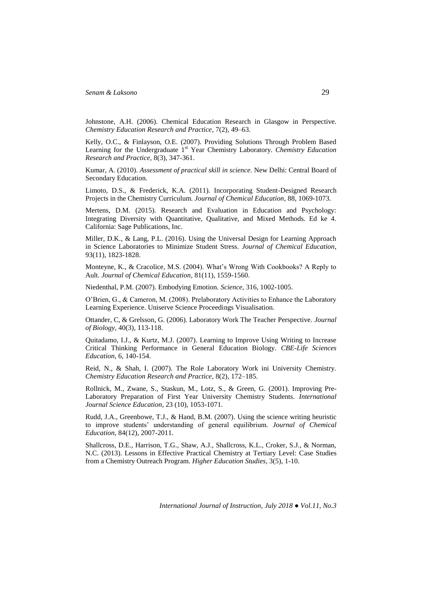Johnstone, A.H. (2006). Chemical Education Research in Glasgow in Perspective. *Chemistry Education Research and Practice,* 7(2), 49–63.

Kelly, O.C., & Finlayson, O.E. (2007). Providing Solutions Through Problem Based Learning for the Undergraduate 1<sup>st</sup> Year Chemistry Laboratory. *Chemistry Education Research and Practice*, 8(3), 347-361.

Kumar, A. (2010). *Assessment of practical skill in science*. New Delhi: Central Board of Secondary Education.

Limoto, D.S., & Frederick, K.A. (2011). Incorporating Student-Designed Research Projects in the Chemistry Curriculum. *Journal of Chemical Education,* 88, 1069-1073.

Mertens, D.M. (2015). Research and Evaluation in Education and Psychology: Integrating Diversity with Quantitative, Qualitative, and Mixed Methods. Ed ke 4. California: Sage Publications, Inc.

Miller, D.K., & Lang, P.L. (2016). Using the Universal Design for Learning Approach in Science Laboratories to Minimize Student Stress. *Journal of Chemical Education*, 93(11), 1823-1828.

Monteyne, K., & Cracolice, M.S. (2004). What's Wrong With Cookbooks? A Reply to Ault. *Journal of Chemical Education*, 81(11), 1559-1560.

Niedenthal, P.M. (2007). Embodying Emotion. *Science*, 316, 1002-1005.

O'Brien, G., & Cameron, M. (2008). Prelaboratory Activities to Enhance the Laboratory Learning Experience. Uniserve Science Proceedings Visualisation.

Ottander, C, & Grelsson, G. (2006). Laboratory Work The Teacher Perspective. *Journal of Biology,* 40(3), 113-118.

Quitadamo, I.J., & Kurtz, M.J. (2007). Learning to Improve Using Writing to Increase Critical Thinking Performance in General Education Biology. *CBE-Life Sciences Education*, 6, 140-154.

Reid, N., & Shah, I. (2007). The Role Laboratory Work ini University Chemistry. *Chemistry Education Research and Practice*, 8(2), 172–185.

Rollnick, M., Zwane, S., Staskun, M., Lotz, S., & Green, G. (2001). Improving Pre-Laboratory Preparation of First Year University Chemistry Students. *International Journal Science Education*, 23 (10), 1053-1071.

Rudd, J.A., Greenbowe, T.J., & Hand, B.M. (2007). Using the science writing heuristic to improve students' understanding of general equilibrium. *Journal of Chemical Education*, 84(12), 2007-2011.

Shallcross, D.E., Harrison, T.G., Shaw, A.J., Shallcross, K.L., Croker, S.J., & Norman, N.C. (2013). Lessons in Effective Practical Chemistry at Tertiary Level: Case Studies from a Chemistry Outreach Program. *Higher Education Studies,* 3(5), 1-10.